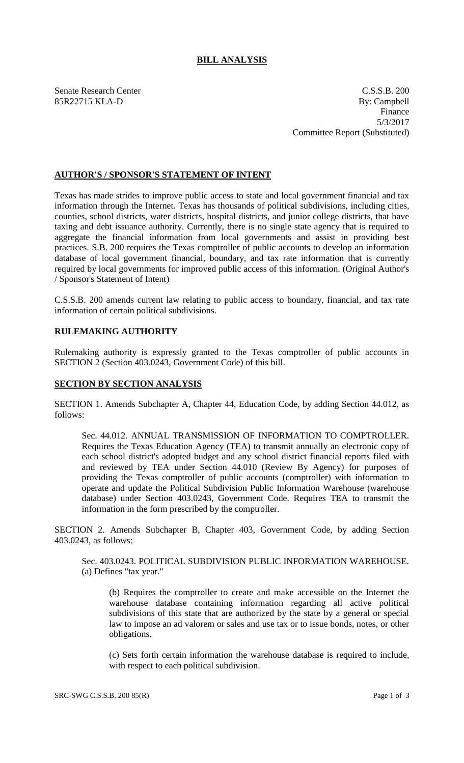## **BILL ANALYSIS**

Senate Research Center C.S.S.B. 200 85R22715 KLA-D By: Campbell Finance 5/3/2017 Committee Report (Substituted)

## **AUTHOR'S / SPONSOR'S STATEMENT OF INTENT**

Texas has made strides to improve public access to state and local government financial and tax information through the Internet. Texas has thousands of political subdivisions, including cities, counties, school districts, water districts, hospital districts, and junior college districts, that have taxing and debt issuance authority. Currently, there is no single state agency that is required to aggregate the financial information from local governments and assist in providing best practices. S.B. 200 requires the Texas comptroller of public accounts to develop an information database of local government financial, boundary, and tax rate information that is currently required by local governments for improved public access of this information. (Original Author's / Sponsor's Statement of Intent)

C.S.S.B. 200 amends current law relating to public access to boundary, financial, and tax rate information of certain political subdivisions.

# **RULEMAKING AUTHORITY**

Rulemaking authority is expressly granted to the Texas comptroller of public accounts in SECTION 2 (Section 403.0243, Government Code) of this bill.

### **SECTION BY SECTION ANALYSIS**

SECTION 1. Amends Subchapter A, Chapter 44, Education Code, by adding Section 44.012, as follows:

Sec. 44.012. ANNUAL TRANSMISSION OF INFORMATION TO COMPTROLLER. Requires the Texas Education Agency (TEA) to transmit annually an electronic copy of each school district's adopted budget and any school district financial reports filed with and reviewed by TEA under Section 44.010 (Review By Agency) for purposes of providing the Texas comptroller of public accounts (comptroller) with information to operate and update the Political Subdivision Public Information Warehouse (warehouse database) under Section 403.0243, Government Code. Requires TEA to transmit the information in the form prescribed by the comptroller.

SECTION 2. Amends Subchapter B, Chapter 403, Government Code, by adding Section 403.0243, as follows:

Sec. 403.0243. POLITICAL SUBDIVISION PUBLIC INFORMATION WAREHOUSE. (a) Defines "tax year."

(b) Requires the comptroller to create and make accessible on the Internet the warehouse database containing information regarding all active political subdivisions of this state that are authorized by the state by a general or special law to impose an ad valorem or sales and use tax or to issue bonds, notes, or other obligations.

(c) Sets forth certain information the warehouse database is required to include, with respect to each political subdivision.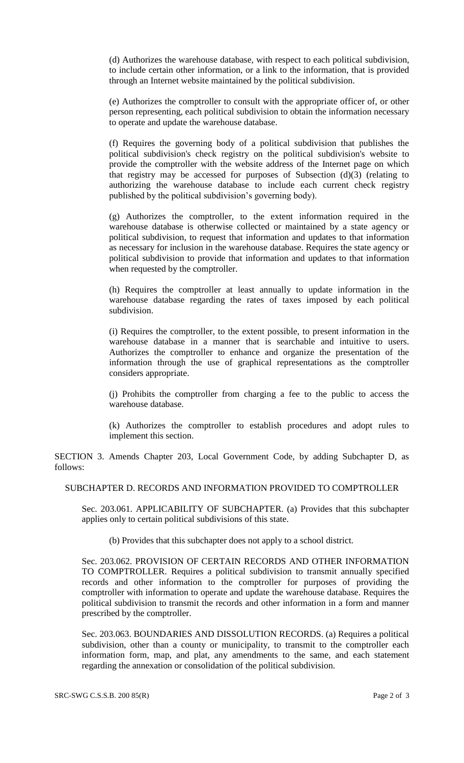(d) Authorizes the warehouse database, with respect to each political subdivision, to include certain other information, or a link to the information, that is provided through an Internet website maintained by the political subdivision.

(e) Authorizes the comptroller to consult with the appropriate officer of, or other person representing, each political subdivision to obtain the information necessary to operate and update the warehouse database.

(f) Requires the governing body of a political subdivision that publishes the political subdivision's check registry on the political subdivision's website to provide the comptroller with the website address of the Internet page on which that registry may be accessed for purposes of Subsection (d)(3) (relating to authorizing the warehouse database to include each current check registry published by the political subdivision's governing body).

(g) Authorizes the comptroller, to the extent information required in the warehouse database is otherwise collected or maintained by a state agency or political subdivision, to request that information and updates to that information as necessary for inclusion in the warehouse database. Requires the state agency or political subdivision to provide that information and updates to that information when requested by the comptroller.

(h) Requires the comptroller at least annually to update information in the warehouse database regarding the rates of taxes imposed by each political subdivision.

(i) Requires the comptroller, to the extent possible, to present information in the warehouse database in a manner that is searchable and intuitive to users. Authorizes the comptroller to enhance and organize the presentation of the information through the use of graphical representations as the comptroller considers appropriate.

(j) Prohibits the comptroller from charging a fee to the public to access the warehouse database.

(k) Authorizes the comptroller to establish procedures and adopt rules to implement this section.

SECTION 3. Amends Chapter 203, Local Government Code, by adding Subchapter D, as follows:

#### SUBCHAPTER D. RECORDS AND INFORMATION PROVIDED TO COMPTROLLER

Sec. 203.061. APPLICABILITY OF SUBCHAPTER. (a) Provides that this subchapter applies only to certain political subdivisions of this state.

(b) Provides that this subchapter does not apply to a school district.

Sec. 203.062. PROVISION OF CERTAIN RECORDS AND OTHER INFORMATION TO COMPTROLLER. Requires a political subdivision to transmit annually specified records and other information to the comptroller for purposes of providing the comptroller with information to operate and update the warehouse database. Requires the political subdivision to transmit the records and other information in a form and manner prescribed by the comptroller.

Sec. 203.063. BOUNDARIES AND DISSOLUTION RECORDS. (a) Requires a political subdivision, other than a county or municipality, to transmit to the comptroller each information form, map, and plat, any amendments to the same, and each statement regarding the annexation or consolidation of the political subdivision.